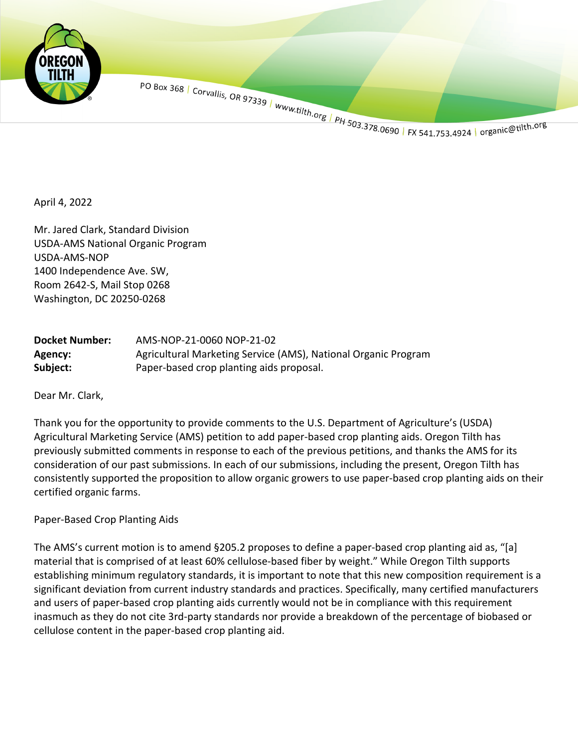

PO Box 368 | Corvallis, OR 97339 | www.tilth.org | PH 503.378.0690 | FX 541.753.4924 | organic@tilth.org

April 4, 2022

Mr. Jared Clark, Standard Division USDA-AMS National Organic Program USDA-AMS-NOP 1400 Independence Ave. SW, Room 2642-S, Mail Stop 0268 Washington, DC 20250-0268

| <b>Docket Number:</b> | AMS-NOP-21-0060 NOP-21-02                                      |
|-----------------------|----------------------------------------------------------------|
| Agency:               | Agricultural Marketing Service (AMS), National Organic Program |
| Subject:              | Paper-based crop planting aids proposal.                       |

Dear Mr. Clark,

Thank you for the opportunity to provide comments to the U.S. Department of Agriculture's (USDA) Agricultural Marketing Service (AMS) petition to add paper-based crop planting aids. Oregon Tilth has previously submitted comments in response to each of the previous petitions, and thanks the AMS for its consideration of our past submissions. In each of our submissions, including the present, Oregon Tilth has consistently supported the proposition to allow organic growers to use paper-based crop planting aids on their certified organic farms.

## Paper-Based Crop Planting Aids

The AMS's current motion is to amend §205.2 proposes to define a paper-based crop planting aid as, "[a] material that is comprised of at least 60% cellulose-based fiber by weight." While Oregon Tilth supports establishing minimum regulatory standards, it is important to note that this new composition requirement is a significant deviation from current industry standards and practices. Specifically, many certified manufacturers and users of paper-based crop planting aids currently would not be in compliance with this requirement inasmuch as they do not cite 3rd-party standards nor provide a breakdown of the percentage of biobased or cellulose content in the paper-based crop planting aid.